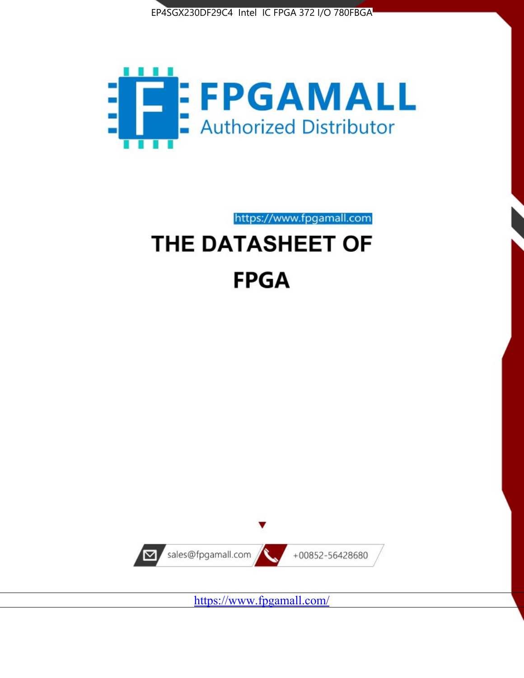



https://www.fpgamall.com

# THE DATASHEET OF **FPGA**



<https://www.fpgamall.com/>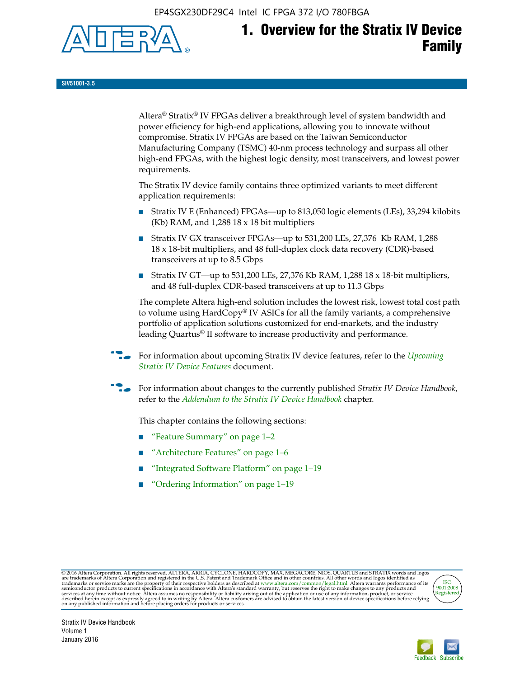EP4SGX230DF29C4 Intel IC FPGA 372 I/O 780FBGA



**SIV51001-3.5**

Altera® Stratix® IV FPGAs deliver a breakthrough level of system bandwidth and power efficiency for high-end applications, allowing you to innovate without compromise. Stratix IV FPGAs are based on the Taiwan Semiconductor Manufacturing Company (TSMC) 40-nm process technology and surpass all other high-end FPGAs, with the highest logic density, most transceivers, and lowest power requirements.

The Stratix IV device family contains three optimized variants to meet different application requirements:

- Stratix IV E (Enhanced) FPGAs—up to 813,050 logic elements (LEs), 33,294 kilobits (Kb) RAM, and 1,288 18 x 18 bit multipliers
- Stratix IV GX transceiver FPGAs—up to 531,200 LEs, 27,376 Kb RAM, 1,288 18 x 18-bit multipliers, and 48 full-duplex clock data recovery (CDR)-based transceivers at up to 8.5 Gbps
- Stratix IV GT—up to 531,200 LEs, 27,376 Kb RAM, 1,288 18 x 18-bit multipliers, and 48 full-duplex CDR-based transceivers at up to 11.3 Gbps

The complete Altera high-end solution includes the lowest risk, lowest total cost path to volume using HardCopy® IV ASICs for all the family variants, a comprehensive portfolio of application solutions customized for end-markets, and the industry leading Quartus® II software to increase productivity and performance.

f For information about upcoming Stratix IV device features, refer to the *[Upcoming](http://www.altera.com/literature/hb/stratix-iv/uf01001.pdf?GSA_pos=2&WT.oss_r=1&WT.oss=upcoming)  [Stratix IV Device Features](http://www.altera.com/literature/hb/stratix-iv/uf01001.pdf?GSA_pos=2&WT.oss_r=1&WT.oss=upcoming)* document.

f For information about changes to the currently published *Stratix IV Device Handbook*, refer to the *[Addendum to the Stratix IV Device Handbook](http://www.altera.com/literature/hb/stratix-iv/stx4_siv54002.pdf)* chapter.

This chapter contains the following sections:

- "Feature Summary" on page 1–2
- "Architecture Features" on page 1–6
- "Integrated Software Platform" on page 1–19
- "Ordering Information" on page 1–19

@2016 Altera Corporation. All rights reserved. ALTERA, ARRIA, CYCLONE, HARDCOPY, MAX, MEGACORE, NIOS, QUARTUS and STRATIX words and logos are trademarks of Altera Corporation and registered in the U.S. Patent and Trademark



Stratix IV Device Handbook Volume 1 January 2016

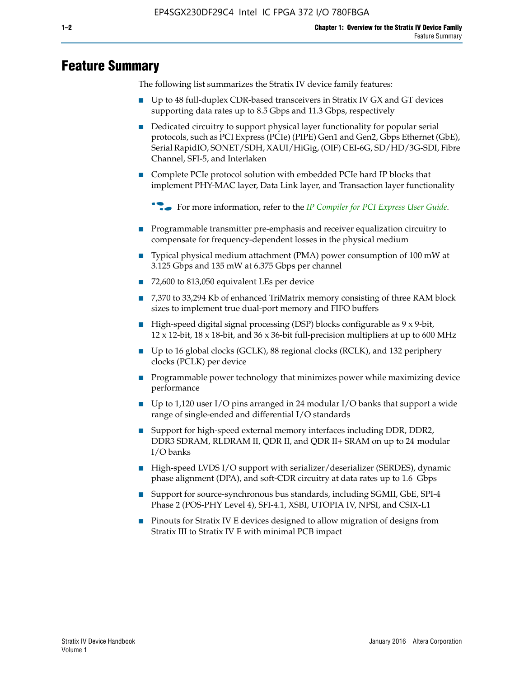# **Feature Summary**

The following list summarizes the Stratix IV device family features:

- Up to 48 full-duplex CDR-based transceivers in Stratix IV GX and GT devices supporting data rates up to 8.5 Gbps and 11.3 Gbps, respectively
- Dedicated circuitry to support physical layer functionality for popular serial protocols, such as PCI Express (PCIe) (PIPE) Gen1 and Gen2, Gbps Ethernet (GbE), Serial RapidIO, SONET/SDH, XAUI/HiGig, (OIF) CEI-6G, SD/HD/3G-SDI, Fibre Channel, SFI-5, and Interlaken
- Complete PCIe protocol solution with embedded PCIe hard IP blocks that implement PHY-MAC layer, Data Link layer, and Transaction layer functionality

**For more information, refer to the** *[IP Compiler for PCI Express User Guide](http://www.altera.com/literature/ug/ug_pci_express.pdf)***.** 

- Programmable transmitter pre-emphasis and receiver equalization circuitry to compensate for frequency-dependent losses in the physical medium
- Typical physical medium attachment (PMA) power consumption of 100 mW at 3.125 Gbps and 135 mW at 6.375 Gbps per channel
- 72,600 to 813,050 equivalent LEs per device
- 7,370 to 33,294 Kb of enhanced TriMatrix memory consisting of three RAM block sizes to implement true dual-port memory and FIFO buffers
- High-speed digital signal processing (DSP) blocks configurable as 9 x 9-bit,  $12 \times 12$ -bit,  $18 \times 18$ -bit, and  $36 \times 36$ -bit full-precision multipliers at up to 600 MHz
- Up to 16 global clocks (GCLK), 88 regional clocks (RCLK), and 132 periphery clocks (PCLK) per device
- Programmable power technology that minimizes power while maximizing device performance
- Up to 1,120 user I/O pins arranged in 24 modular I/O banks that support a wide range of single-ended and differential I/O standards
- Support for high-speed external memory interfaces including DDR, DDR2, DDR3 SDRAM, RLDRAM II, QDR II, and QDR II+ SRAM on up to 24 modular I/O banks
- High-speed LVDS I/O support with serializer/deserializer (SERDES), dynamic phase alignment (DPA), and soft-CDR circuitry at data rates up to 1.6 Gbps
- Support for source-synchronous bus standards, including SGMII, GbE, SPI-4 Phase 2 (POS-PHY Level 4), SFI-4.1, XSBI, UTOPIA IV, NPSI, and CSIX-L1
- Pinouts for Stratix IV E devices designed to allow migration of designs from Stratix III to Stratix IV E with minimal PCB impact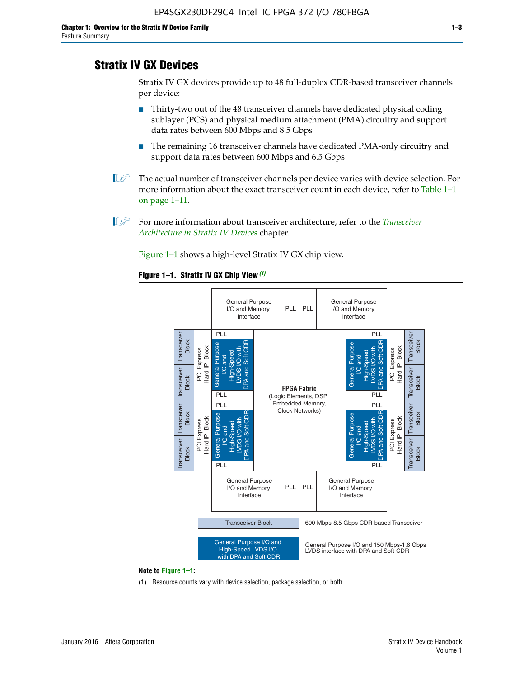# **Stratix IV GX Devices**

Stratix IV GX devices provide up to 48 full-duplex CDR-based transceiver channels per device:

- Thirty-two out of the 48 transceiver channels have dedicated physical coding sublayer (PCS) and physical medium attachment (PMA) circuitry and support data rates between 600 Mbps and 8.5 Gbps
- The remaining 16 transceiver channels have dedicated PMA-only circuitry and support data rates between 600 Mbps and 6.5 Gbps
- **1 The actual number of transceiver channels per device varies with device selection. For** more information about the exact transceiver count in each device, refer to Table 1–1 on page 1–11.
- 1 For more information about transceiver architecture, refer to the *[Transceiver](http://www.altera.com/literature/hb/stratix-iv/stx4_siv52001.pdf)  [Architecture in Stratix IV Devices](http://www.altera.com/literature/hb/stratix-iv/stx4_siv52001.pdf)* chapter.

Figure 1–1 shows a high-level Stratix IV GX chip view.

#### **Figure 1–1. Stratix IV GX Chip View** *(1)*



#### **Note to Figure 1–1:**

(1) Resource counts vary with device selection, package selection, or both.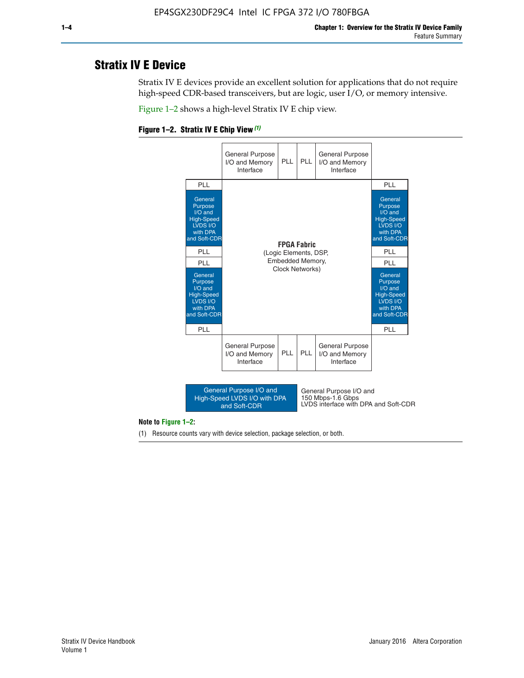# **Stratix IV E Device**

Stratix IV E devices provide an excellent solution for applications that do not require high-speed CDR-based transceivers, but are logic, user I/O, or memory intensive.

Figure 1–2 shows a high-level Stratix IV E chip view.





#### **Note to Figure 1–2:**

(1) Resource counts vary with device selection, package selection, or both.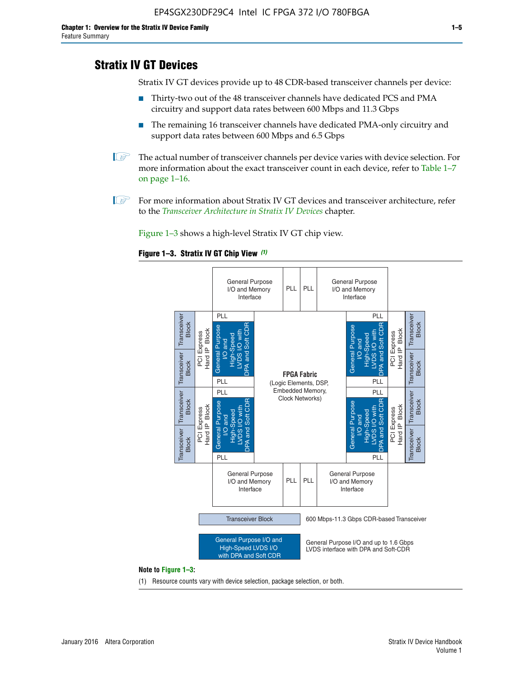# **Stratix IV GT Devices**

Stratix IV GT devices provide up to 48 CDR-based transceiver channels per device:

- Thirty-two out of the 48 transceiver channels have dedicated PCS and PMA circuitry and support data rates between 600 Mbps and 11.3 Gbps
- The remaining 16 transceiver channels have dedicated PMA-only circuitry and support data rates between 600 Mbps and 6.5 Gbps
- **1** The actual number of transceiver channels per device varies with device selection. For more information about the exact transceiver count in each device, refer to Table 1–7 on page 1–16.
- $\mathbb{I}$  For more information about Stratix IV GT devices and transceiver architecture, refer to the *[Transceiver Architecture in Stratix IV Devices](http://www.altera.com/literature/hb/stratix-iv/stx4_siv52001.pdf)* chapter.

Figure 1–3 shows a high-level Stratix IV GT chip view.





(1) Resource counts vary with device selection, package selection, or both.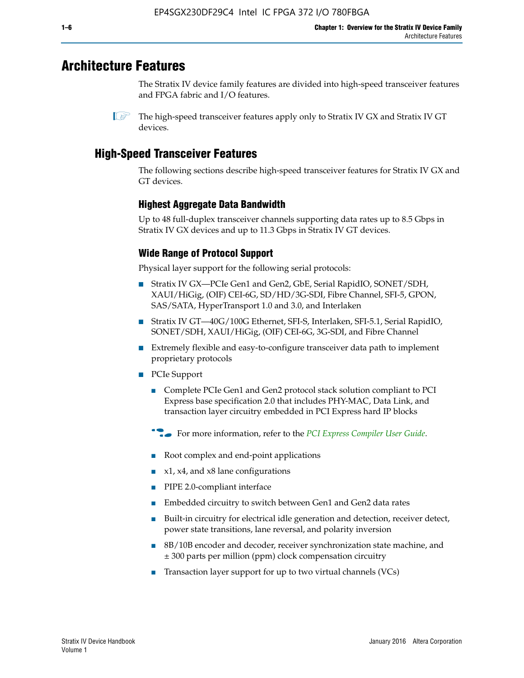# **Architecture Features**

The Stratix IV device family features are divided into high-speed transceiver features and FPGA fabric and I/O features.

 $\mathbb{I}$  The high-speed transceiver features apply only to Stratix IV GX and Stratix IV GT devices.

# **High-Speed Transceiver Features**

The following sections describe high-speed transceiver features for Stratix IV GX and GT devices.

## **Highest Aggregate Data Bandwidth**

Up to 48 full-duplex transceiver channels supporting data rates up to 8.5 Gbps in Stratix IV GX devices and up to 11.3 Gbps in Stratix IV GT devices.

## **Wide Range of Protocol Support**

Physical layer support for the following serial protocols:

- Stratix IV GX—PCIe Gen1 and Gen2, GbE, Serial RapidIO, SONET/SDH, XAUI/HiGig, (OIF) CEI-6G, SD/HD/3G-SDI, Fibre Channel, SFI-5, GPON, SAS/SATA, HyperTransport 1.0 and 3.0, and Interlaken
- Stratix IV GT—40G/100G Ethernet, SFI-S, Interlaken, SFI-5.1, Serial RapidIO, SONET/SDH, XAUI/HiGig, (OIF) CEI-6G, 3G-SDI, and Fibre Channel
- Extremely flexible and easy-to-configure transceiver data path to implement proprietary protocols
- PCIe Support
	- Complete PCIe Gen1 and Gen2 protocol stack solution compliant to PCI Express base specification 2.0 that includes PHY-MAC, Data Link, and transaction layer circuitry embedded in PCI Express hard IP blocks
	- **For more information, refer to the [PCI Express Compiler User Guide](http://www.altera.com/literature/ug/ug_pci_express.pdf).**
	- Root complex and end-point applications
	- $x1, x4,$  and  $x8$  lane configurations
	- PIPE 2.0-compliant interface
	- Embedded circuitry to switch between Gen1 and Gen2 data rates
	- Built-in circuitry for electrical idle generation and detection, receiver detect, power state transitions, lane reversal, and polarity inversion
	- 8B/10B encoder and decoder, receiver synchronization state machine, and ± 300 parts per million (ppm) clock compensation circuitry
	- Transaction layer support for up to two virtual channels (VCs)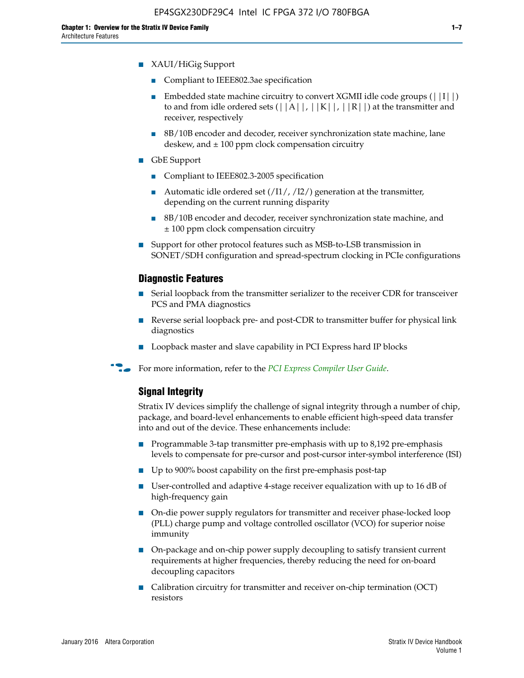- XAUI/HiGig Support
	- Compliant to IEEE802.3ae specification
	- **■** Embedded state machine circuitry to convert XGMII idle code groups  $(|11|)$ to and from idle ordered sets  $(|A|, |K|, |R|)$  at the transmitter and receiver, respectively
	- 8B/10B encoder and decoder, receiver synchronization state machine, lane deskew, and  $\pm 100$  ppm clock compensation circuitry
- GbE Support
	- Compliant to IEEE802.3-2005 specification
	- Automatic idle ordered set  $(111/112/1)$  generation at the transmitter, depending on the current running disparity
	- 8B/10B encoder and decoder, receiver synchronization state machine, and ± 100 ppm clock compensation circuitry
- Support for other protocol features such as MSB-to-LSB transmission in SONET/SDH configuration and spread-spectrum clocking in PCIe configurations

#### **Diagnostic Features**

- Serial loopback from the transmitter serializer to the receiver CDR for transceiver PCS and PMA diagnostics
- Reverse serial loopback pre- and post-CDR to transmitter buffer for physical link diagnostics
- Loopback master and slave capability in PCI Express hard IP blocks
- **For more information, refer to the** *[PCI Express Compiler User Guide](http://www.altera.com/literature/ug/ug_pci_express.pdf)***.**

## **Signal Integrity**

Stratix IV devices simplify the challenge of signal integrity through a number of chip, package, and board-level enhancements to enable efficient high-speed data transfer into and out of the device. These enhancements include:

- Programmable 3-tap transmitter pre-emphasis with up to 8,192 pre-emphasis levels to compensate for pre-cursor and post-cursor inter-symbol interference (ISI)
- Up to 900% boost capability on the first pre-emphasis post-tap
- User-controlled and adaptive 4-stage receiver equalization with up to 16 dB of high-frequency gain
- On-die power supply regulators for transmitter and receiver phase-locked loop (PLL) charge pump and voltage controlled oscillator (VCO) for superior noise immunity
- On-package and on-chip power supply decoupling to satisfy transient current requirements at higher frequencies, thereby reducing the need for on-board decoupling capacitors
- Calibration circuitry for transmitter and receiver on-chip termination (OCT) resistors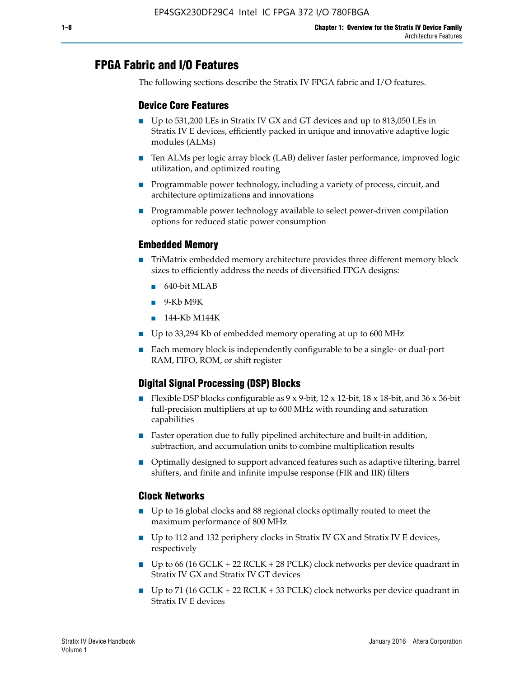# **FPGA Fabric and I/O Features**

The following sections describe the Stratix IV FPGA fabric and I/O features.

## **Device Core Features**

- Up to 531,200 LEs in Stratix IV GX and GT devices and up to 813,050 LEs in Stratix IV E devices, efficiently packed in unique and innovative adaptive logic modules (ALMs)
- Ten ALMs per logic array block (LAB) deliver faster performance, improved logic utilization, and optimized routing
- Programmable power technology, including a variety of process, circuit, and architecture optimizations and innovations
- Programmable power technology available to select power-driven compilation options for reduced static power consumption

## **Embedded Memory**

- TriMatrix embedded memory architecture provides three different memory block sizes to efficiently address the needs of diversified FPGA designs:
	- 640-bit MLAB
	- 9-Kb M9K
	- 144-Kb M144K
- Up to 33,294 Kb of embedded memory operating at up to 600 MHz
- Each memory block is independently configurable to be a single- or dual-port RAM, FIFO, ROM, or shift register

## **Digital Signal Processing (DSP) Blocks**

- Flexible DSP blocks configurable as  $9 \times 9$ -bit,  $12 \times 12$ -bit,  $18 \times 18$ -bit, and  $36 \times 36$ -bit full-precision multipliers at up to 600 MHz with rounding and saturation capabilities
- Faster operation due to fully pipelined architecture and built-in addition, subtraction, and accumulation units to combine multiplication results
- Optimally designed to support advanced features such as adaptive filtering, barrel shifters, and finite and infinite impulse response (FIR and IIR) filters

## **Clock Networks**

- Up to 16 global clocks and 88 regional clocks optimally routed to meet the maximum performance of 800 MHz
- Up to 112 and 132 periphery clocks in Stratix IV GX and Stratix IV E devices, respectively
- Up to 66 (16 GCLK + 22 RCLK + 28 PCLK) clock networks per device quadrant in Stratix IV GX and Stratix IV GT devices
- Up to 71 (16 GCLK + 22 RCLK + 33 PCLK) clock networks per device quadrant in Stratix IV E devices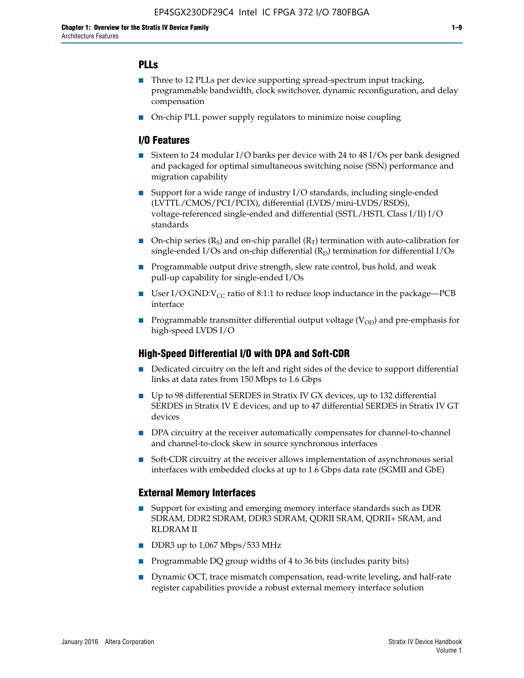## **PLLs**

- Three to 12 PLLs per device supporting spread-spectrum input tracking, programmable bandwidth, clock switchover, dynamic reconfiguration, and delay compensation
- On-chip PLL power supply regulators to minimize noise coupling

## **I/O Features**

- Sixteen to 24 modular I/O banks per device with 24 to 48 I/Os per bank designed and packaged for optimal simultaneous switching noise (SSN) performance and migration capability
- Support for a wide range of industry I/O standards, including single-ended (LVTTL/CMOS/PCI/PCIX), differential (LVDS/mini-LVDS/RSDS), voltage-referenced single-ended and differential (SSTL/HSTL Class I/II) I/O standards
- **O**n-chip series  $(R_S)$  and on-chip parallel  $(R_T)$  termination with auto-calibration for single-ended I/Os and on-chip differential  $(R_D)$  termination for differential I/Os
- Programmable output drive strength, slew rate control, bus hold, and weak pull-up capability for single-ended I/Os
- User I/O:GND: $V_{CC}$  ratio of 8:1:1 to reduce loop inductance in the package—PCB interface
- **■** Programmable transmitter differential output voltage ( $V_{OD}$ ) and pre-emphasis for high-speed LVDS I/O

## **High-Speed Differential I/O with DPA and Soft-CDR**

- Dedicated circuitry on the left and right sides of the device to support differential links at data rates from 150 Mbps to 1.6 Gbps
- Up to 98 differential SERDES in Stratix IV GX devices, up to 132 differential SERDES in Stratix IV E devices, and up to 47 differential SERDES in Stratix IV GT devices
- DPA circuitry at the receiver automatically compensates for channel-to-channel and channel-to-clock skew in source synchronous interfaces
- Soft-CDR circuitry at the receiver allows implementation of asynchronous serial interfaces with embedded clocks at up to 1.6 Gbps data rate (SGMII and GbE)

## **External Memory Interfaces**

- Support for existing and emerging memory interface standards such as DDR SDRAM, DDR2 SDRAM, DDR3 SDRAM, QDRII SRAM, QDRII+ SRAM, and RLDRAM II
- DDR3 up to 1,067 Mbps/533 MHz
- Programmable DQ group widths of 4 to 36 bits (includes parity bits)
- Dynamic OCT, trace mismatch compensation, read-write leveling, and half-rate register capabilities provide a robust external memory interface solution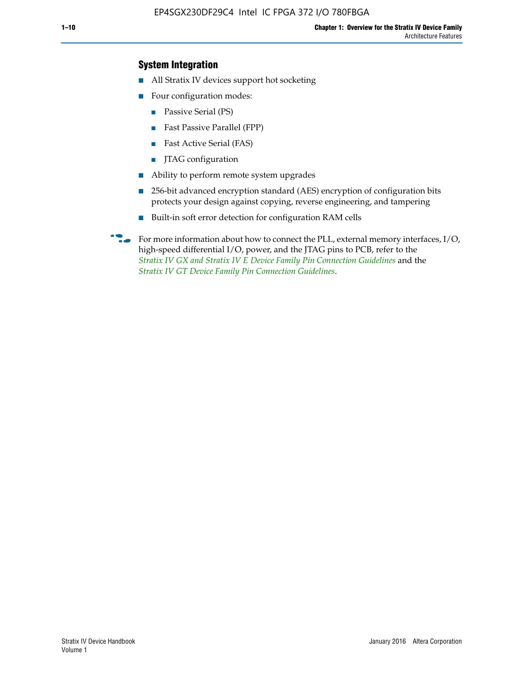## **System Integration**

- All Stratix IV devices support hot socketing
- Four configuration modes:
	- Passive Serial (PS)
	- Fast Passive Parallel (FPP)
	- Fast Active Serial (FAS)
	- JTAG configuration
- Ability to perform remote system upgrades
- 256-bit advanced encryption standard (AES) encryption of configuration bits protects your design against copying, reverse engineering, and tampering
- Built-in soft error detection for configuration RAM cells
- For more information about how to connect the PLL, external memory interfaces,  $I/O$ , high-speed differential I/O, power, and the JTAG pins to PCB, refer to the *[Stratix IV GX and Stratix IV E Device Family Pin Connection Guidelines](http://www.altera.com/literature/dp/stratix4/PCG-01005.pdf)* and the *[Stratix IV GT Device Family Pin Connection Guidelines](http://www.altera.com/literature/dp/stratix4/PCG-01006.pdf)*.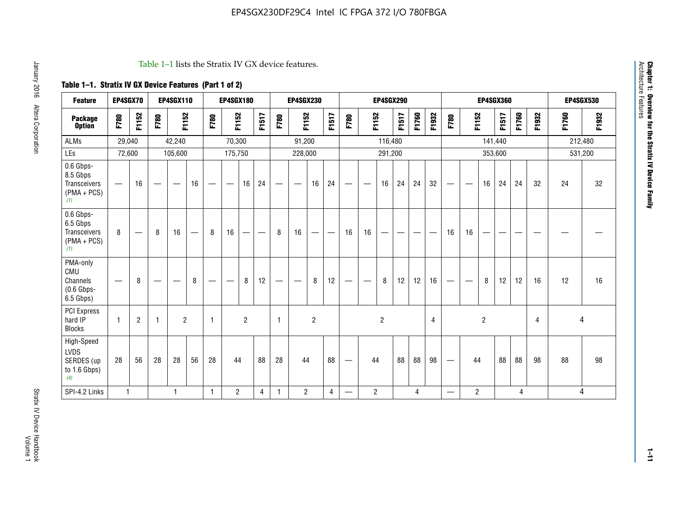#### Table 1–1 lists the Stratix IV GX device features.

# **Table 1–1. Stratix IV GX Device Features (Part 1 of 2)**

| <b>Feature</b>                                                 | EP4SGX70                 |                |                                  | <b>EP4SGX110</b>  |    |                                | <b>EP4SGX180</b>               |                |       |              | <b>EP4SGX230</b>         |                |       |                                 |                | <b>EP4SGX290</b> |       |       |                |                                 |                   | <b>EP4SGX360</b> |         |       |       |         | <b>EP4SGX530</b> |
|----------------------------------------------------------------|--------------------------|----------------|----------------------------------|-------------------|----|--------------------------------|--------------------------------|----------------|-------|--------------|--------------------------|----------------|-------|---------------------------------|----------------|------------------|-------|-------|----------------|---------------------------------|-------------------|------------------|---------|-------|-------|---------|------------------|
| <b>Package</b><br><b>Option</b>                                | F780                     | F1152          | F780                             | F1152             |    | F780                           | F1152                          |                | F1517 | F780         | F1152                    |                | F1517 | F780                            | F1152          |                  | F1517 | F1760 | F1932          | F780                            | F1152             |                  | F1517   | F1760 | F1932 | F1760   | F1932            |
| <b>ALMs</b>                                                    | 29,040                   |                |                                  | 42,240            |    |                                | 70,300                         |                |       |              | 91,200                   |                |       |                                 |                | 116,480          |       |       |                |                                 |                   |                  | 141,440 |       |       | 212,480 |                  |
| LEs                                                            | 72,600                   |                |                                  | 105,600           |    |                                | 175,750                        |                |       |              | 228,000                  |                |       |                                 |                | 291,200          |       |       |                |                                 |                   |                  | 353,600 |       |       |         | 531,200          |
| 0.6 Gbps-<br>8.5 Gbps<br>Transceivers<br>$(PMA + PCs)$<br>(1)  | $\overline{\phantom{0}}$ | 16             | $\hspace{0.05cm}$                | $\hspace{0.05cm}$ | 16 | $\qquad \qquad \longleftarrow$ | $\hspace{0.05cm}$              | 16             | 24    |              | $\overline{\phantom{a}}$ | 16             | 24    | —                               |                | 16               | 24    | 24    | 32             | $\overline{\phantom{0}}$        | $\hspace{0.05cm}$ | 16               | 24      | 24    | 32    | 24      | 32               |
| 0.6 Gbps-<br>6.5 Gbps<br>Transceivers<br>$(PMA + PCs)$<br>(1)  | 8                        |                | 8                                | 16                |    | 8                              | 16                             | ÷              |       | 8            | 16                       | —              |       | 16                              | 16             |                  |       |       |                | 16                              | 16                |                  |         |       |       |         |                  |
| PMA-only<br>CMU<br>Channels<br>$(0.6$ Gbps-<br>6.5 Gbps)       | $\overline{\phantom{0}}$ | 8              | $\overbrace{\phantom{12322111}}$ |                   | 8  | $\qquad \qquad \longleftarrow$ | $\qquad \qquad \longleftarrow$ | 8              | 12    |              |                          | 8              | 12    | $\hspace{0.1mm}-\hspace{0.1mm}$ |                | 8                | 12    | 12    | 16             | $\overline{\phantom{0}}$        | $\hspace{0.05cm}$ | 8                | 12      | 12    | 16    | 12      | 16               |
| <b>PCI Express</b><br>hard IP<br><b>Blocks</b>                 | $\mathbf{1}$             | $\overline{2}$ | $\mathbf 1$                      | $\overline{2}$    |    | $\mathbf{1}$                   |                                | $\overline{2}$ |       | $\mathbf{1}$ |                          | $\overline{c}$ |       |                                 |                | $\overline{c}$   |       |       | $\overline{4}$ |                                 |                   | $\overline{2}$   |         |       | 4     |         | 4                |
| High-Speed<br><b>LVDS</b><br>SERDES (up<br>to 1.6 Gbps)<br>(4) | 28                       | 56             | 28                               | 28                | 56 | 28                             | 44                             |                | 88    | 28           | 44                       |                | 88    | —                               | 44             |                  | 88    | 88    | 98             | $\hspace{0.1mm}-\hspace{0.1mm}$ | 44                |                  | 88      | 88    | 98    | 88      | 98               |
| SPI-4.2 Links                                                  | $\mathbf{1}$             |                |                                  | 1                 |    | $\mathbf{1}$                   | $\overline{c}$                 |                | 4     | 1            | $\overline{c}$           |                | 4     | —                               | $\overline{2}$ |                  |       | 4     |                | $\overline{\phantom{0}}$        | $\overline{2}$    |                  |         | 4     |       |         | 4                |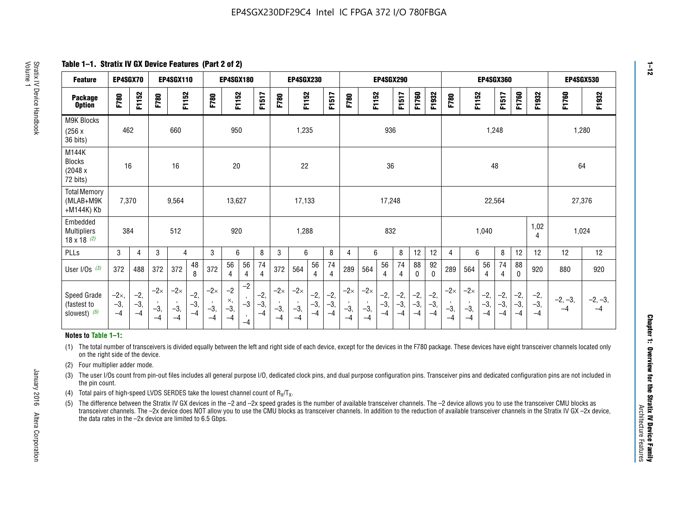**Table 1–1. Stratix IV GX Device Features (Part 2 of 2)**

| <b>Feature</b>                                       | EP4SGX70                |                        |                             | <b>EP4SGX110</b>            |                      |                             | <b>EP4SGX180</b>            |                                 |                        |                             | <b>EP4SGX230</b>            |                        |                      |                             |                             | <b>EP4SGX290</b>       |                        |                        |                        |                             |                             |                      | EP4SGX360            |                        |                        | <b>EP4SGX530</b>  |                   |
|------------------------------------------------------|-------------------------|------------------------|-----------------------------|-----------------------------|----------------------|-----------------------------|-----------------------------|---------------------------------|------------------------|-----------------------------|-----------------------------|------------------------|----------------------|-----------------------------|-----------------------------|------------------------|------------------------|------------------------|------------------------|-----------------------------|-----------------------------|----------------------|----------------------|------------------------|------------------------|-------------------|-------------------|
| <b>Package</b><br><b>Option</b>                      | F780                    | F1152                  | F780                        | F1152                       |                      | F780                        | F1152                       |                                 | F1517                  | F780                        | F1152                       |                        | F1517                | F780                        | F1152                       |                        | F1517                  | F1760                  | F1932                  | F780                        | F1152                       |                      | F1517                | F1760                  | F1932                  | F1760             | F1932             |
| <b>M9K Blocks</b><br>(256x)<br>36 bits)              | 462                     |                        |                             | 660                         |                      |                             | 950                         |                                 |                        |                             | 1,235                       |                        |                      |                             |                             | 936                    |                        |                        |                        |                             |                             | 1,248                |                      |                        |                        | 1,280             |                   |
| M144K<br>Blocks<br>(2048 x<br>72 bits)               | 16                      |                        |                             | 16                          |                      |                             | 20                          |                                 |                        |                             | 22                          |                        |                      |                             |                             | 36                     |                        |                        |                        |                             |                             | 48                   |                      |                        |                        | 64                |                   |
| <b>Total Memory</b><br>(MLAB+M9K<br>+M144K) Kb       | 7,370                   |                        |                             | 9,564                       |                      |                             | 13,627                      |                                 |                        |                             | 17,133                      |                        |                      |                             |                             | 17,248                 |                        |                        |                        |                             |                             | 22,564               |                      |                        |                        | 27,376            |                   |
| Embedded<br><b>Multipliers</b><br>$18 \times 18$ (2) | 384                     |                        |                             | 512                         |                      |                             | 920                         |                                 |                        |                             | 1,288                       |                        |                      |                             |                             | 832                    |                        |                        |                        |                             |                             | 1,040                |                      |                        | 1,02<br>4              | 1,024             |                   |
| PLLs                                                 | 3                       | 4                      | 3                           | 4                           |                      | 3                           | 6                           |                                 | 8                      | 3                           | 6                           |                        | 8                    | 4                           | 6                           |                        | 8                      | 12                     | 12                     | $\overline{4}$              | 6                           |                      | 8                    | 12                     | 12                     | 12                | 12                |
| User $1/Os$ (3)                                      | 372                     | 488                    | 372                         | 372                         | 48<br>8              | 372                         | 56<br>4                     | 56<br>4                         | 74<br>4                | 372                         | 564                         | 56<br>4                | 74<br>$\overline{4}$ | 289                         | 564                         | 56<br>4                | 74<br>4                | 88<br>0                | 92<br>0                | 289                         | 564                         | 56<br>4              | 74<br>4              | 88<br>0                | 920                    | 880               | 920               |
| Speed Grade<br>(fastest to<br>slowest) (5)           | $-2x,$<br>$-3,$<br>$-4$ | $-2,$<br>$-3,$<br>$-4$ | $-2\times$<br>$-3,$<br>$-4$ | $-2\times$<br>$-3,$<br>$-4$ | $-2,$<br>-3,<br>$-4$ | $-2\times$<br>$-3,$<br>$-4$ | $-2$<br>×,<br>$-3,$<br>$-4$ | $-2$<br>$\cdot$<br>$-3$<br>$-4$ | $-2,$<br>$-3,$<br>$-4$ | $-2\times$<br>$-3,$<br>$-4$ | $-2\times$<br>$-3,$<br>$-4$ | $-2,$<br>$-3,$<br>$-4$ | $-2,$<br>-3,<br>$-4$ | $-2\times$<br>$-3,$<br>$-4$ | $-2\times$<br>$-3,$<br>$-4$ | $-2,$<br>$-3,$<br>$-4$ | $-2,$<br>$-3,$<br>$-4$ | $-2,$<br>$-3,$<br>$-4$ | $-2,$<br>$-3,$<br>$-4$ | $-2\times$<br>$-3,$<br>$-4$ | $-2\times$<br>$-3,$<br>$-4$ | $-2,$<br>-3,<br>$-4$ | $-2,$<br>-3,<br>$-4$ | $-2,$<br>$-3,$<br>$-4$ | $-2,$<br>$-3,$<br>$-4$ | $-2, -3,$<br>$-4$ | $-2, -3,$<br>$-4$ |

#### **Notes to Table 1–1:**

(1) The total number of transceivers is divided equally between the left and right side of each device, except for the devices in the F780 package. These devices have eight transceiver channels located only on the right side of the device.

- (2) Four multiplier adder mode.
- (3) The user I/Os count from pin-out files includes all general purpose I/O, dedicated clock pins, and dual purpose configuration pins. Transceiver pins and dedicated configuration pins are not included in the pin count.
- (4) Total pairs of high-speed LVDS SERDES take the lowest channel count of  $R_X/T_X$ .
- (5) The difference between the Stratix IV GX devices in the –2 and –2x speed grades is the number of available transceiver channels. The –2 device allows you to use the transceiver CMU blocks as transceiver channels. The –2x device does NOT allow you to use the CMU blocks as transceiver channels. In addition to the reduction of available transceiver channels in the Stratix IV GX –2x device, the data rates in the –2x device are limited to 6.5 Gbps.

January 2016 Altera Corporation

Altera Corporation

January 2016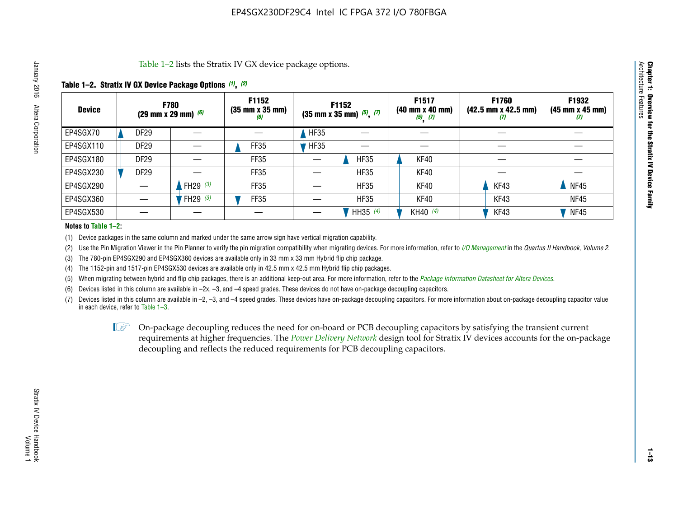Table 1–2 lists the Stratix IV GX device package options.

#### **Table 1–2. Stratix IV GX Device Package Options** *(1)***,** *(2)*

| <b>Device</b> |                  | <b>F780</b><br>(29 mm x 29 mm) $(6)$ | F1152<br>$(35 \, \text{mm} \times 35 \, \text{mm})$<br>(6) |             | F1152<br>$(35$ mm x 35 mm) $(5)$ , $(7)$ | F1517<br>(40 mm x 40 mm)<br>$(5)$ $(7)$ | F1760<br>$(42.5 \text{ mm} \times 42.5 \text{ mm})$<br>‴ | F1932<br>$(45 \, \text{mm} \times 45 \, \text{mm})$<br>$\boldsymbol{U}$ |
|---------------|------------------|--------------------------------------|------------------------------------------------------------|-------------|------------------------------------------|-----------------------------------------|----------------------------------------------------------|-------------------------------------------------------------------------|
| EP4SGX70      | DF <sub>29</sub> |                                      |                                                            | <b>HF35</b> |                                          |                                         |                                                          |                                                                         |
| EP4SGX110     | <b>DF29</b>      |                                      | <b>FF35</b>                                                | <b>HF35</b> |                                          |                                         |                                                          |                                                                         |
| EP4SGX180     | <b>DF29</b>      |                                      | FF35                                                       |             | <b>HF35</b>                              | KF40                                    |                                                          |                                                                         |
| EP4SGX230     | <b>DF29</b>      |                                      | FF35                                                       |             | <b>HF35</b>                              | KF40                                    |                                                          |                                                                         |
| EP4SGX290     |                  | FH29 $(3)$                           | <b>FF35</b>                                                |             | <b>HF35</b>                              | KF40                                    | KF43                                                     | <b>NF45</b>                                                             |
| EP4SGX360     |                  | FH29 $(3)$                           | FF35                                                       |             | <b>HF35</b>                              | KF40                                    | KF43                                                     | <b>NF45</b>                                                             |
| EP4SGX530     |                  |                                      |                                                            |             | HH35 $(4)$                               | KH40 (4)                                | KF43                                                     | <b>NF45</b>                                                             |

#### **Notes to Table 1–2:**

(1) Device packages in the same column and marked under the same arrow sign have vertical migration capability.

(2) Use the Pin Migration Viewer in the Pin Planner to verify the pin migration compatibility when migrating devices. For more information, refer to *[I/O Management](http://www.altera.com/literature/hb/qts/qts_qii52013.pdf)* in the *Quartus II Handbook, Volume 2*.

(3) The 780-pin EP4SGX290 and EP4SGX360 devices are available only in 33 mm x 33 mm Hybrid flip chip package.

(4) The 1152-pin and 1517-pin EP4SGX530 devices are available only in 42.5 mm x 42.5 mm Hybrid flip chip packages.

(5) When migrating between hybrid and flip chip packages, there is an additional keep-out area. For more information, refer to the *[Package Information Datasheet for Altera Devices](http://www.altera.com/literature/ds/dspkg.pdf)*.

(6) Devices listed in this column are available in –2x, –3, and –4 speed grades. These devices do not have on-package decoupling capacitors.

(7) Devices listed in this column are available in –2, –3, and –4 speed grades. These devices have on-package decoupling capacitors. For more information about on-package decoupling capacitor value in each device, refer to Table 1–3.

 $\mathbb{L}$ s On-package decoupling reduces the need for on-board or PCB decoupling capacitors by satisfying the transient current requirements at higher frequencies. The *[Power Delivery Network](http://www.altera.com/literature/ug/pdn_tool_stxiv.zip)* design tool for Stratix IV devices accounts for the on-package decoupling and reflects the reduced requirements for PCB decoupling capacitors.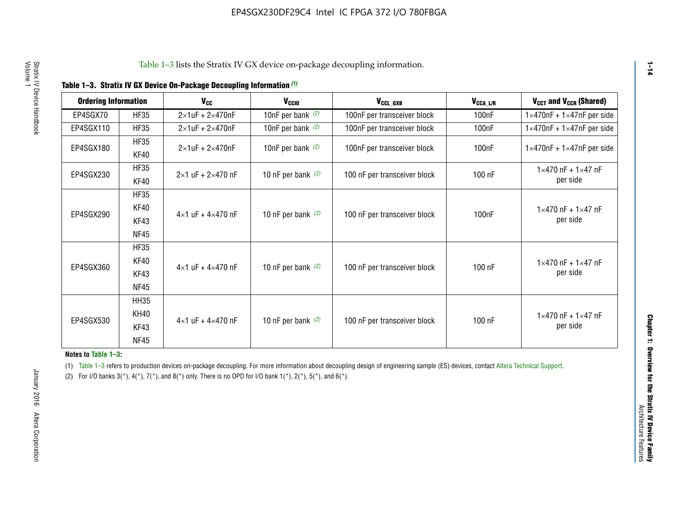|  |  | Table 1-3. Stratix IV GX Device On-Package Decoupling Information (1) |  |  |
|--|--|-----------------------------------------------------------------------|--|--|
|--|--|-----------------------------------------------------------------------|--|--|

| <b>Ordering Information</b> |                            | <b>V<sub>cc</sub></b>               | V <sub>ccio</sub>    | V <sub>CCL GXB</sub>         | V <sub>CCA_L/R</sub> | V <sub>CCT</sub> and V <sub>CCR</sub> (Shared)   |
|-----------------------------|----------------------------|-------------------------------------|----------------------|------------------------------|----------------------|--------------------------------------------------|
| EP4SGX70                    | <b>HF35</b>                | $2\times1$ uF + $2\times470$ nF     | 10nF per bank $(2)$  | 100nF per transceiver block  | 100 <sub>n</sub> F   | $1 \times 470$ nF + $1 \times 47$ nF per side    |
| EP4SGX110                   | <b>HF35</b>                | $2\times1$ uF + $2\times470$ nF     | 10nF per bank $(2)$  | 100nF per transceiver block  | 100 <sub>n</sub> F   | $1\times470$ nF + $1\times47$ nF per side        |
| EP4SGX180                   | <b>HF35</b><br>KF40        | $2\times1$ uF + $2\times470$ nF     | 10nF per bank $(2)$  | 100nF per transceiver block  | 100 <sub>n</sub> F   | $1 \times 470$ nF + $1 \times 47$ nF per side    |
| EP4SGX230                   | <b>HF35</b><br>KF40        | $2 \times 1$ uF + $2 \times 470$ nF | 10 nF per bank $(2)$ | 100 nF per transceiver block | 100 nF               | $1 \times 470$ nF + $1 \times 47$ nF<br>per side |
|                             | <b>HF35</b><br><b>KF40</b> |                                     |                      |                              |                      | $1 \times 470$ nF + $1 \times 47$ nF             |
| EP4SGX290                   | KF43<br><b>NF45</b>        | $4 \times 1$ uF + $4 \times 470$ nF | 10 nF per bank $(2)$ | 100 nF per transceiver block | 100nF                | per side                                         |
|                             | <b>HF35</b><br>KF40        |                                     |                      |                              |                      | $1 \times 470$ nF + $1 \times 47$ nF             |
| EP4SGX360                   | KF43<br><b>NF45</b>        | $4 \times 1$ uF + $4 \times 470$ nF | 10 nF per bank $(2)$ | 100 nF per transceiver block | 100 nF               | per side                                         |
|                             | <b>HH35</b>                |                                     |                      |                              |                      |                                                  |
| EP4SGX530                   | <b>KH40</b><br>KF43        | $4 \times 1$ uF + $4 \times 470$ nF | 10 nF per bank $(2)$ | 100 nF per transceiver block | 100 nF               | $1 \times 470$ nF + $1 \times 47$ nF<br>per side |
|                             | <b>NF45</b>                |                                     |                      |                              |                      |                                                  |

**Notes to Table 1–3:**

(1) Table 1-3 refers to production devices on-package decoupling. For more information about decoupling design of engineering sample (ES) devices, contact [Altera Technical Support](http://mysupport.altera.com/eservice/login.asp).

(2) For I/O banks  $3(*)$ ,  $4(*)$ ,  $7(*)$ , and  $8(*)$  only. There is no OPD for I/O bank  $1(*)$ ,  $2(*)$ ,  $5(*)$ , and  $6(*)$ .

**1–14**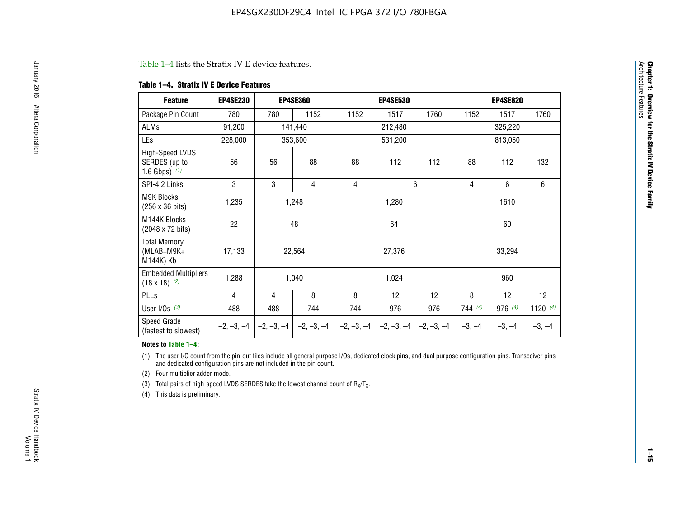#### Table 1–4 lists the Stratix IV E device features.

#### **Table 1–4. Stratix IV E Device Features**

| <b>Feature</b>                                      | <b>EP4SE230</b> |     | <b>EP4SE360</b>                        |              | <b>EP4SE530</b> |              |          | <b>EP4SE820</b> |            |
|-----------------------------------------------------|-----------------|-----|----------------------------------------|--------------|-----------------|--------------|----------|-----------------|------------|
| Package Pin Count                                   | 780             | 780 | 1152                                   | 1152         | 1517            | 1760         | 1152     | 1517            | 1760       |
| ALMs                                                | 91,200          |     | 141,440                                |              | 212,480         |              |          | 325,220         |            |
| LEs                                                 | 228,000         |     | 353,600                                |              | 531,200         |              |          | 813,050         |            |
| High-Speed LVDS<br>SERDES (up to<br>1.6 Gbps) $(1)$ | 56              | 56  | 88                                     | 88           | 112             | 112          | 88       | 112             | 132        |
| SPI-4.2 Links                                       | 3               | 3   | 4                                      | 4            |                 | 6            | 4        | 6               | 6          |
| <b>M9K Blocks</b><br>(256 x 36 bits)                | 1,235           |     | 1,248                                  |              | 1,280           |              |          | 1610            |            |
| M144K Blocks<br>(2048 x 72 bits)                    | 22              |     | 48                                     |              | 64              |              |          | 60              |            |
| <b>Total Memory</b><br>$(MLAB+M9K+$<br>M144K) Kb    | 17,133          |     | 22,564                                 |              | 27,376          |              |          | 33,294          |            |
| <b>Embedded Multipliers</b><br>$(18 \times 18)$ (2) | 1,288           |     | 1,040                                  |              | 1,024           |              |          | 960             |            |
| PLLs                                                | 4               | 4   | 8                                      | 8            | 12              | 12           | 8        | 12              | 12         |
| User I/Os $(3)$                                     | 488             | 488 | 744                                    | 744          | 976             | 976          | 744(4)   | 976 (4)         | 1120 $(4)$ |
| Speed Grade<br>(fastest to slowest)                 |                 |     | $-2, -3, -4$ $-2, -3, -4$ $-2, -3, -4$ | $-2, -3, -4$ | $-2, -3, -4$    | $-2, -3, -4$ | $-3, -4$ | $-3, -4$        | $-3, -4$   |

#### **Notes to Table 1–4:**

(1) The user I/O count from the pin-out files include all general purpose I/Os, dedicated clock pins, and dual purpose configuration pins. Transceiver pins and dedicated configuration pins are not included in the pin count.

(2) Four multiplier adder mode.

(3) Total pairs of high-speed LVDS SERDES take the lowest channel count of  $R_X/T_X$ .

(4) This data is preliminary.

**Chapter 1: Overview for the Stratix IV Device Family**

**Chapter 1: Overview for the Stratix IV Device Family**<br>Architecture Faatures

Architecture Features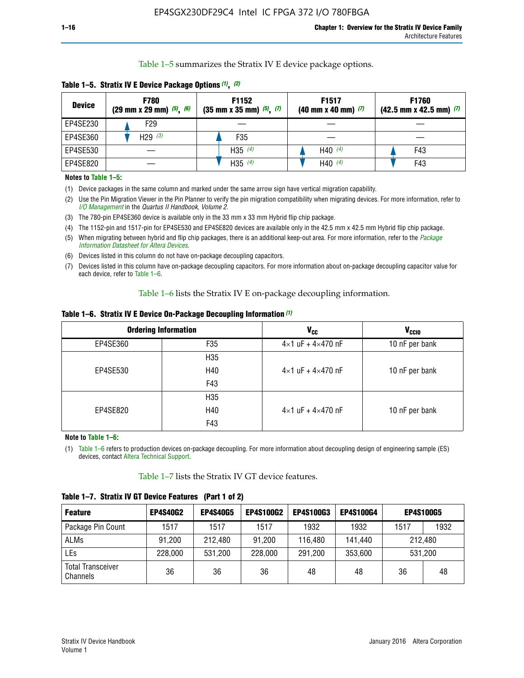Table 1–5 summarizes the Stratix IV E device package options.

| <b>Device</b> | <b>F780</b><br>$(29 \text{ mm} \times 29 \text{ mm})$ $(5)$ , $(6)$ | F1152<br>$(35 \text{ mm} \times 35 \text{ mm})$ $(5)$ , $(7)$ | F <sub>1517</sub><br>$(40 \text{ mm} \times 40 \text{ mm})$ (7) | <b>F1760</b><br>$(42.5$ mm x 42.5 mm) $(7)$ |
|---------------|---------------------------------------------------------------------|---------------------------------------------------------------|-----------------------------------------------------------------|---------------------------------------------|
| EP4SE230      | F29                                                                 |                                                               |                                                                 |                                             |
| EP4SE360      | H <sub>29</sub> $(3)$                                               | F35                                                           |                                                                 |                                             |
| EP4SE530      |                                                                     | H35 $(4)$                                                     | H40 $(4)$                                                       | F43                                         |
| EP4SE820      |                                                                     | H35 $(4)$                                                     | H40 $(4)$                                                       | F43                                         |

**Table 1–5. Stratix IV E Device Package Options** *(1)***,** *(2)*

#### **Notes to Table 1–5:**

(1) Device packages in the same column and marked under the same arrow sign have vertical migration capability.

(2) Use the Pin Migration Viewer in the Pin Planner to verify the pin migration compatibility when migrating devices. For more information, refer to *[I/O Management](http://www.altera.com/literature/hb/qts/qts_qii52013.pdf)* in the *Quartus II Handbook, Volume 2*.

(3) The 780-pin EP4SE360 device is available only in the 33 mm x 33 mm Hybrid flip chip package.

(4) The 1152-pin and 1517-pin for EP4SE530 and EP4SE820 devices are available only in the 42.5 mm x 42.5 mm Hybrid flip chip package.

(5) When migrating between hybrid and flip chip packages, there is an additional keep-out area. For more information, refer to the *[Package](http://www.altera.com/literature/ds/dspkg.pdf)  [Information Datasheet for Altera Devices](http://www.altera.com/literature/ds/dspkg.pdf)*.

(6) Devices listed in this column do not have on-package decoupling capacitors.

(7) Devices listed in this column have on-package decoupling capacitors. For more information about on-package decoupling capacitor value for each device, refer to Table 1–6.

Table 1–6 lists the Stratix IV E on-package decoupling information.

| Table 1–6. Stratix IV E Device On-Package Decoupling Information (1) |  |  |  |  |  |
|----------------------------------------------------------------------|--|--|--|--|--|
|----------------------------------------------------------------------|--|--|--|--|--|

|          | <b>Ordering Information</b> | <b>V<sub>cc</sub></b>               | <b>V<sub>CCIO</sub></b> |
|----------|-----------------------------|-------------------------------------|-------------------------|
| EP4SE360 | F35                         | $4 \times 1$ uF + $4 \times 470$ nF | 10 nF per bank          |
|          | H <sub>35</sub>             |                                     |                         |
| EP4SE530 | H40                         | $4 \times 1$ uF + $4 \times 470$ nF | 10 nF per bank          |
|          | F43                         |                                     |                         |
|          | H <sub>35</sub>             |                                     |                         |
| EP4SE820 | H40                         | $4 \times 1$ uF + $4 \times 470$ nF | 10 nF per bank          |
|          | F43                         |                                     |                         |

**Note to Table 1–6:**

(1) Table 1–6 refers to production devices on-package decoupling. For more information about decoupling design of engineering sample (ES) devices, contact [Altera Technical Support](http://mysupport.altera.com/eservice/login.asp).

Table 1–7 lists the Stratix IV GT device features.

| <b>Feature</b>                       | <b>EP4S40G2</b> | <b>EP4S40G5</b> | <b>EP4S100G2</b> | <b>EP4S100G3</b> | <b>EP4S100G4</b> | <b>EP4S100G5</b> |         |
|--------------------------------------|-----------------|-----------------|------------------|------------------|------------------|------------------|---------|
| Package Pin Count                    | 1517            | 1517            | 1517             | 1932             | 1932             | 1517             | 1932    |
| <b>ALMs</b>                          | 91,200          | 212,480         | 91,200           | 116,480          | 141,440          |                  | 212.480 |
| LEs                                  | 228,000         | 531,200         | 228,000          | 291,200          | 353,600          |                  | 531,200 |
| <b>Total Transceiver</b><br>Channels | 36              | 36              | 36               | 48               | 48               | 36               | 48      |

**Table 1–7. Stratix IV GT Device Features (Part 1 of 2)**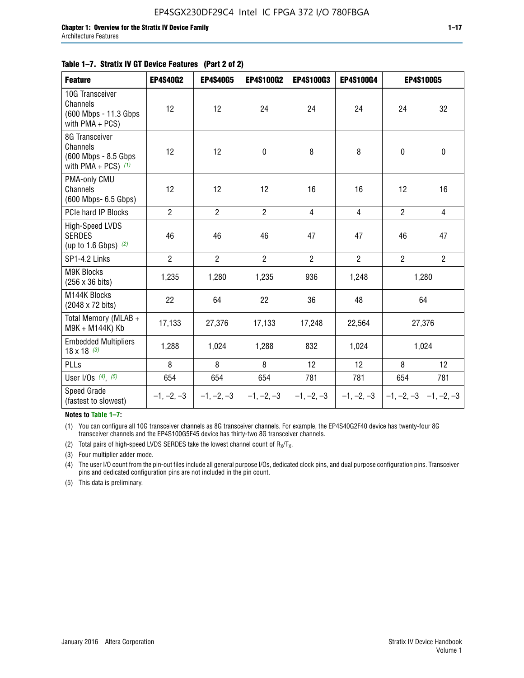#### **Table 1–7. Stratix IV GT Device Features (Part 2 of 2)**

| <b>Feature</b>                                                              | <b>EP4S40G2</b> | <b>EP4S40G5</b> | <b>EP4S100G2</b> | <b>EP4S100G3</b> | <b>EP4S100G4</b> | <b>EP4S100G5</b> |                           |
|-----------------------------------------------------------------------------|-----------------|-----------------|------------------|------------------|------------------|------------------|---------------------------|
| 10G Transceiver<br>Channels<br>(600 Mbps - 11.3 Gbps<br>with PMA + PCS)     | 12              | 12              | 24               | 24               | 24               | 24               | 32                        |
| 8G Transceiver<br>Channels<br>(600 Mbps - 8.5 Gbps<br>with PMA + PCS) $(1)$ | 12              | 12              | $\pmb{0}$        | 8                | 8                | $\mathbf 0$      | 0                         |
| PMA-only CMU<br>Channels<br>(600 Mbps- 6.5 Gbps)                            | 12              | 12              | 12               | 16               | 16               | 12               | 16                        |
| PCIe hard IP Blocks                                                         | $\overline{2}$  | $\overline{2}$  | $\overline{2}$   | $\overline{4}$   | $\overline{4}$   | $\overline{2}$   | $\overline{4}$            |
| <b>High-Speed LVDS</b><br><b>SERDES</b><br>(up to 1.6 Gbps) $(2)$           | 46              | 46              | 46               | 47               | 47               | 46               | 47                        |
| SP1-4.2 Links                                                               | $\overline{2}$  | $\overline{2}$  | $\overline{2}$   | $\overline{2}$   | $\overline{2}$   | $\overline{2}$   | $\overline{2}$            |
| <b>M9K Blocks</b><br>(256 x 36 bits)                                        | 1,235           | 1,280           | 1,235            | 936              | 1,248            |                  | 1,280                     |
| M144K Blocks<br>(2048 x 72 bits)                                            | 22              | 64              | 22               | 36               | 48               |                  | 64                        |
| Total Memory (MLAB +<br>M9K + M144K) Kb                                     | 17,133          | 27,376          | 17,133           | 17,248           | 22,564           |                  | 27,376                    |
| <b>Embedded Multipliers</b><br>$18 \times 18^{(3)}$                         | 1,288           | 1,024           | 1,288            | 832              | 1,024            |                  | 1,024                     |
| PLLs                                                                        | 8               | 8               | 8                | 12               | 12               | 8                | 12                        |
| User I/Os $(4)$ , $(5)$                                                     | 654             | 654             | 654              | 781              | 781              | 654              | 781                       |
| Speed Grade<br>(fastest to slowest)                                         | $-1, -2, -3$    | $-1, -2, -3$    | $-1, -2, -3$     | $-1, -2, -3$     | $-1, -2, -3$     |                  | $-1, -2, -3$ $-1, -2, -3$ |

**Notes to Table 1–7:**

(1) You can configure all 10G transceiver channels as 8G transceiver channels. For example, the EP4S40G2F40 device has twenty-four 8G transceiver channels and the EP4S100G5F45 device has thirty-two 8G transceiver channels.

(2) Total pairs of high-speed LVDS SERDES take the lowest channel count of  $R_X/T_X$ .

(3) Four multiplier adder mode.

(4) The user I/O count from the pin-out files include all general purpose I/Os, dedicated clock pins, and dual purpose configuration pins. Transceiver pins and dedicated configuration pins are not included in the pin count.

(5) This data is preliminary.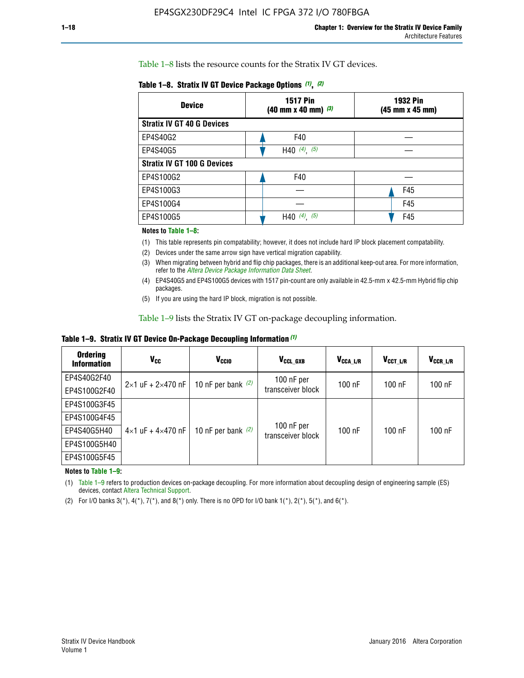Table 1–8 lists the resource counts for the Stratix IV GT devices.

| <b>Device</b>                      | <b>1517 Pin</b><br><b>1932 Pin</b><br>$(40 \text{ mm} \times 40 \text{ mm})$ (3)<br>(45 mm x 45 mm) |     |  |
|------------------------------------|-----------------------------------------------------------------------------------------------------|-----|--|
| <b>Stratix IV GT 40 G Devices</b>  |                                                                                                     |     |  |
| EP4S40G2                           | F40                                                                                                 |     |  |
| EP4S40G5                           | H40 $(4)$ , $(5)$                                                                                   |     |  |
| <b>Stratix IV GT 100 G Devices</b> |                                                                                                     |     |  |
| EP4S100G2                          | F40                                                                                                 |     |  |
| EP4S100G3                          |                                                                                                     | F45 |  |
| EP4S100G4                          |                                                                                                     | F45 |  |
| EP4S100G5                          | H40 $(4)$ , $(5)$                                                                                   | F45 |  |

#### **Notes to Table 1–8:**

(1) This table represents pin compatability; however, it does not include hard IP block placement compatability.

- (2) Devices under the same arrow sign have vertical migration capability.
- (3) When migrating between hybrid and flip chip packages, there is an additional keep-out area. For more information, refer to the *[Altera Device Package Information Data Sheet](http://www.altera.com/literature/ds/dspkg.pdf)*.
- (4) EP4S40G5 and EP4S100G5 devices with 1517 pin-count are only available in 42.5-mm x 42.5-mm Hybrid flip chip packages.
- (5) If you are using the hard IP block, migration is not possible.

Table 1–9 lists the Stratix IV GT on-package decoupling information.

**Table 1–9. Stratix IV GT Device On-Package Decoupling Information** *(1)*

| <b>Ordering</b><br><b>Information</b> | Vcc                                 | <b>V<sub>CCIO</sub></b> | V <sub>CCL GXB</sub>            | V <sub>CCA L/R</sub> | V <sub>CCT L/R</sub> | $V_{CCR\_L/R}$ |
|---------------------------------------|-------------------------------------|-------------------------|---------------------------------|----------------------|----------------------|----------------|
| EP4S40G2F40                           | $2 \times 1$ uF + $2 \times 470$ nF | 10 nF per bank $(2)$    | 100 nF per<br>transceiver block | $100$ nF             | $100$ nF             | 100 nF         |
| EP4S100G2F40                          |                                     |                         |                                 |                      |                      |                |
| EP4S100G3F45                          |                                     | 10 nF per bank $(2)$    | 100 nF per<br>transceiver block | $100$ nF             | $100$ nF             | $100$ nF       |
| EP4S100G4F45                          |                                     |                         |                                 |                      |                      |                |
| EP4S40G5H40                           | $4\times1$ uF + $4\times470$ nF     |                         |                                 |                      |                      |                |
| EP4S100G5H40                          |                                     |                         |                                 |                      |                      |                |
| EP4S100G5F45                          |                                     |                         |                                 |                      |                      |                |

**Notes to Table 1–9:**

(1) Table 1–9 refers to production devices on-package decoupling. For more information about decoupling design of engineering sample (ES) devices, contact [Altera Technical Support](http://mysupport.altera.com/eservice/login.asp).

(2) For I/O banks  $3(*)$ ,  $4(*)$ ,  $7(*)$ , and  $8(*)$  only. There is no OPD for I/O bank  $1(*)$ ,  $2(*)$ ,  $5(*)$ , and  $6(*)$ .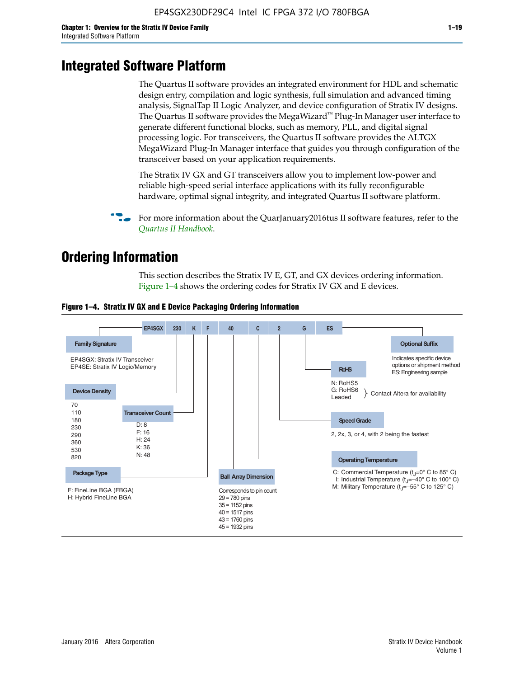# **Integrated Software Platform**

The Quartus II software provides an integrated environment for HDL and schematic design entry, compilation and logic synthesis, full simulation and advanced timing analysis, SignalTap II Logic Analyzer, and device configuration of Stratix IV designs. The Quartus II software provides the MegaWizard<sup> $M$ </sup> Plug-In Manager user interface to generate different functional blocks, such as memory, PLL, and digital signal processing logic. For transceivers, the Quartus II software provides the ALTGX MegaWizard Plug-In Manager interface that guides you through configuration of the transceiver based on your application requirements.

The Stratix IV GX and GT transceivers allow you to implement low-power and reliable high-speed serial interface applications with its fully reconfigurable hardware, optimal signal integrity, and integrated Quartus II software platform.

For more information about the QuarJanuary2016tus II software features, refer to the *[Quartus II Handbook](http://www.altera.com/literature/lit-qts.jsp)*.

# **Ordering Information**

This section describes the Stratix IV E, GT, and GX devices ordering information. Figure 1–4 shows the ordering codes for Stratix IV GX and E devices.



#### **Figure 1–4. Stratix IV GX and E Device Packaging Ordering Information**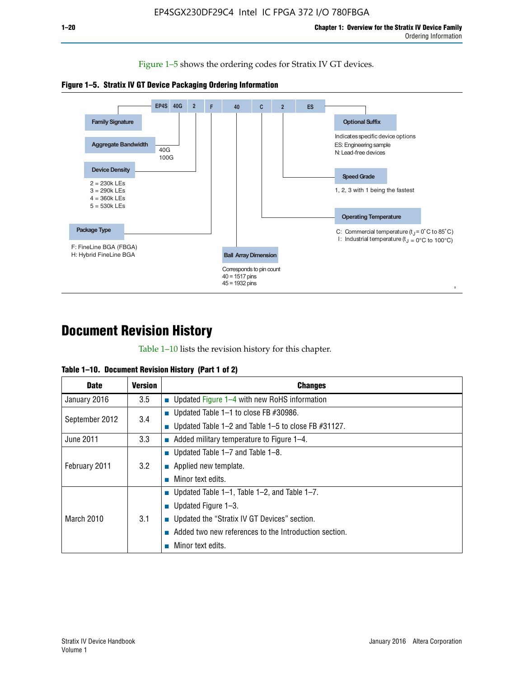Figure 1–5 shows the ordering codes for Stratix IV GT devices.





# **Document Revision History**

Table 1–10 lists the revision history for this chapter.

| Table 1–10. Document Revision History (Part 1 of 2) |  |  |  |  |  |
|-----------------------------------------------------|--|--|--|--|--|
|-----------------------------------------------------|--|--|--|--|--|

| <b>Date</b>       | <b>Version</b> | <b>Changes</b>                                              |
|-------------------|----------------|-------------------------------------------------------------|
| January 2016      | 3.5            | ■ Updated Figure 1–4 with new RoHS information              |
| September 2012    | 3.4            | ■ Updated Table 1–1 to close FB $#30986$ .                  |
|                   |                | Updated Table $1-2$ and Table $1-5$ to close FB $\#31127$ . |
| June 2011         | 3.3            | $\blacksquare$ Added military temperature to Figure 1–4.    |
| February 2011     |                | ■ Updated Table 1–7 and Table 1–8.                          |
|                   | 3.2            | $\blacksquare$ Applied new template.                        |
|                   |                | Minor text edits.                                           |
|                   |                | <b>Updated Table 1–1, Table 1–2, and Table 1–7.</b>         |
| <b>March 2010</b> |                | <b>U</b> Updated Figure 1–3.                                |
|                   | 3.1            | ■ Updated the "Stratix IV GT Devices" section.              |
|                   |                | Added two new references to the Introduction section.       |
|                   |                | Minor text edits.                                           |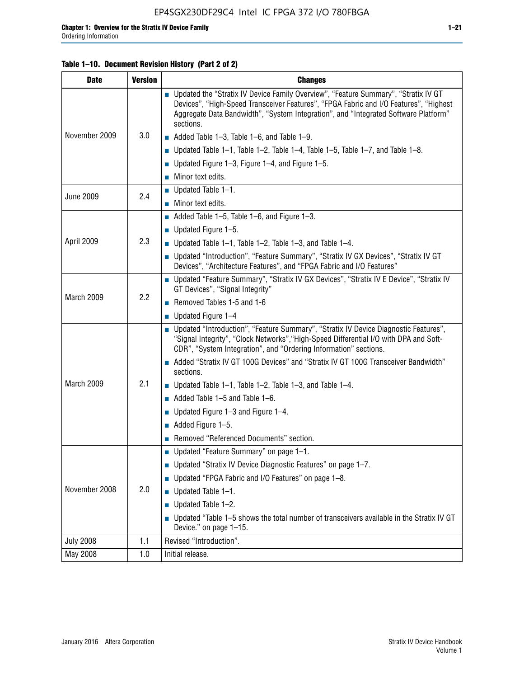## **Table 1–10. Document Revision History (Part 2 of 2)**

| <b>Date</b>      | <b>Version</b> | <b>Changes</b>                                                                                                                                                                                                                                                                    |  |  |
|------------------|----------------|-----------------------------------------------------------------------------------------------------------------------------------------------------------------------------------------------------------------------------------------------------------------------------------|--|--|
|                  |                | ■ Updated the "Stratix IV Device Family Overview", "Feature Summary", "Stratix IV GT<br>Devices", "High-Speed Transceiver Features", "FPGA Fabric and I/O Features", "Highest<br>Aggregate Data Bandwidth", "System Integration", and "Integrated Software Platform"<br>sections. |  |  |
| November 2009    | 3.0            | $\blacksquare$ Added Table 1-3, Table 1-6, and Table 1-9.                                                                                                                                                                                                                         |  |  |
|                  |                | $\blacksquare$ Updated Table 1-1, Table 1-2, Table 1-4, Table 1-5, Table 1-7, and Table 1-8.                                                                                                                                                                                      |  |  |
|                  |                | ■ Updated Figure 1–3, Figure 1–4, and Figure 1–5.                                                                                                                                                                                                                                 |  |  |
|                  |                | $\blacksquare$ Minor text edits.                                                                                                                                                                                                                                                  |  |  |
| <b>June 2009</b> | 2.4            | $\blacksquare$ Updated Table 1-1.                                                                                                                                                                                                                                                 |  |  |
|                  |                | Minor text edits.                                                                                                                                                                                                                                                                 |  |  |
|                  |                | $\blacksquare$ Added Table 1–5, Table 1–6, and Figure 1–3.                                                                                                                                                                                                                        |  |  |
|                  |                | $\blacksquare$ Updated Figure 1-5.                                                                                                                                                                                                                                                |  |  |
| April 2009       | 2.3            | Updated Table $1-1$ , Table $1-2$ , Table $1-3$ , and Table $1-4$ .                                                                                                                                                                                                               |  |  |
|                  |                | ■ Updated "Introduction", "Feature Summary", "Stratix IV GX Devices", "Stratix IV GT<br>Devices", "Architecture Features", and "FPGA Fabric and I/O Features"                                                                                                                     |  |  |
|                  | 2.2            | ■ Updated "Feature Summary", "Stratix IV GX Devices", "Stratix IV E Device", "Stratix IV<br>GT Devices", "Signal Integrity"                                                                                                                                                       |  |  |
| March 2009       |                | Removed Tables 1-5 and 1-6                                                                                                                                                                                                                                                        |  |  |
|                  |                | Updated Figure 1-4                                                                                                                                                                                                                                                                |  |  |
|                  |                | ■ Updated "Introduction", "Feature Summary", "Stratix IV Device Diagnostic Features",<br>"Signal Integrity", "Clock Networks", "High-Speed Differential I/O with DPA and Soft-<br>CDR", "System Integration", and "Ordering Information" sections.                                |  |  |
|                  |                | Added "Stratix IV GT 100G Devices" and "Stratix IV GT 100G Transceiver Bandwidth"<br>sections.                                                                                                                                                                                    |  |  |
| March 2009       | 2.1            | <b>Updated Table 1–1, Table 1–2, Table 1–3, and Table 1–4.</b>                                                                                                                                                                                                                    |  |  |
|                  |                | $\blacksquare$ Added Table 1-5 and Table 1-6.                                                                                                                                                                                                                                     |  |  |
|                  |                | ■ Updated Figure $1-3$ and Figure $1-4$ .                                                                                                                                                                                                                                         |  |  |
|                  |                | $\blacksquare$ Added Figure 1-5.                                                                                                                                                                                                                                                  |  |  |
|                  |                | Removed "Referenced Documents" section.                                                                                                                                                                                                                                           |  |  |
|                  | 2.0            | Updated "Feature Summary" on page 1-1.                                                                                                                                                                                                                                            |  |  |
| November 2008    |                | ■ Updated "Stratix IV Device Diagnostic Features" on page 1-7.                                                                                                                                                                                                                    |  |  |
|                  |                | Updated "FPGA Fabric and I/O Features" on page 1-8.                                                                                                                                                                                                                               |  |  |
|                  |                | $\blacksquare$ Updated Table 1-1.                                                                                                                                                                                                                                                 |  |  |
|                  |                | Updated Table 1-2.                                                                                                                                                                                                                                                                |  |  |
|                  |                | Updated "Table 1-5 shows the total number of transceivers available in the Stratix IV GT<br>Device." on page 1-15.                                                                                                                                                                |  |  |
| <b>July 2008</b> | 1.1            | Revised "Introduction".                                                                                                                                                                                                                                                           |  |  |
| May 2008         | 1.0            | Initial release.                                                                                                                                                                                                                                                                  |  |  |